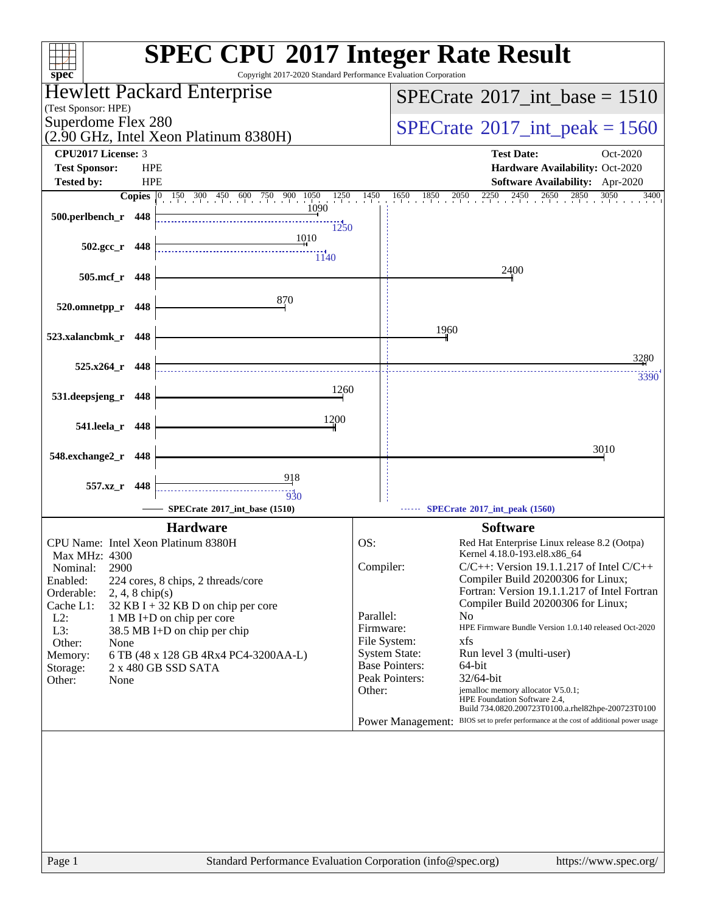| $spec^*$                                                                                              | Copyright 2017-2020 Standard Performance Evaluation Corporation | <b>SPEC CPU®2017 Integer Rate Result</b>                                               |
|-------------------------------------------------------------------------------------------------------|-----------------------------------------------------------------|----------------------------------------------------------------------------------------|
| <b>Hewlett Packard Enterprise</b><br>(Test Sponsor: HPE)                                              |                                                                 | $SPECrate$ <sup>®</sup> 2017_int_base = 1510                                           |
| Superdome Flex 280<br>(2.90 GHz, Intel Xeon Platinum 8380H)                                           | $SPECTate$ <sup>®</sup> 2017_int_peak = 1560                    |                                                                                        |
| <b>CPU2017 License: 3</b>                                                                             |                                                                 | <b>Test Date:</b><br>Oct-2020                                                          |
| <b>HPE</b><br><b>Test Sponsor:</b>                                                                    |                                                                 | Hardware Availability: Oct-2020                                                        |
| <b>HPE</b><br><b>Tested by:</b>                                                                       |                                                                 | Software Availability: Apr-2020                                                        |
| <b>Copies</b> $\begin{bmatrix} 0 & \overline{150} & 300 & 450 & 600 & 750 & 900 & 1050 \end{bmatrix}$ | $1250$ $1450$                                                   | $1650$ $1850$ $2050$ $2250$ $2450$ $2650$ $2850$ $3050$<br>3400                        |
| 500.perlbench_r 448                                                                                   | 1090                                                            |                                                                                        |
|                                                                                                       | 1250<br>1010                                                    |                                                                                        |
| $502.\text{gcc}_r$ 448                                                                                | $\frac{1}{1140}$                                                |                                                                                        |
|                                                                                                       |                                                                 | 2400                                                                                   |
| 505.mcf_r<br>448                                                                                      |                                                                 |                                                                                        |
|                                                                                                       | 870                                                             |                                                                                        |
| 520.omnetpp_r<br>448                                                                                  |                                                                 |                                                                                        |
| 523.xalancbmk_r 448                                                                                   |                                                                 | 1960                                                                                   |
|                                                                                                       |                                                                 |                                                                                        |
| $525.x264$ r 448                                                                                      |                                                                 | 3280                                                                                   |
|                                                                                                       |                                                                 | 3390                                                                                   |
| 531.deepsjeng_r<br>448                                                                                | 1260                                                            |                                                                                        |
|                                                                                                       | 1200                                                            |                                                                                        |
| 541.leela_r<br>448                                                                                    |                                                                 |                                                                                        |
|                                                                                                       |                                                                 | 3010                                                                                   |
| 548.exchange2_r<br>448                                                                                |                                                                 |                                                                                        |
| 557.xz r 448                                                                                          | <u>918</u>                                                      |                                                                                        |
|                                                                                                       | 930                                                             |                                                                                        |
| SPECrate®2017_int_base (1510)                                                                         |                                                                 | SPECrate®2017_int_peak (1560)                                                          |
| <b>Hardware</b>                                                                                       |                                                                 | <b>Software</b>                                                                        |
| CPU Name: Intel Xeon Platinum 8380H                                                                   | OS:                                                             | Red Hat Enterprise Linux release 8.2 (Ootpa)                                           |
| Max MHz: 4300<br>2900                                                                                 | Compiler:                                                       | Kernel 4.18.0-193.el8.x86_64<br>$C/C++$ : Version 19.1.1.217 of Intel $C/C++$          |
| Nominal:<br>Enabled:<br>224 cores, 8 chips, 2 threads/core                                            |                                                                 | Compiler Build 20200306 for Linux;                                                     |
| Orderable:<br>$2, 4, 8$ chip(s)                                                                       |                                                                 | Fortran: Version 19.1.1.217 of Intel Fortran                                           |
| Cache L1:<br>$32$ KB I + 32 KB D on chip per core                                                     | Parallel:                                                       | Compiler Build 20200306 for Linux;<br>N <sub>0</sub>                                   |
| $L2$ :<br>1 MB I+D on chip per core<br>L3:<br>38.5 MB I+D on chip per chip                            | Firmware:                                                       | HPE Firmware Bundle Version 1.0.140 released Oct-2020                                  |
| Other:<br>None                                                                                        |                                                                 | File System:<br>xfs                                                                    |
| 6 TB (48 x 128 GB 4Rx4 PC4-3200AA-L)<br>Memory:                                                       |                                                                 | <b>System State:</b><br>Run level 3 (multi-user)<br><b>Base Pointers:</b><br>64-bit    |
| 2 x 480 GB SSD SATA<br>Storage:<br>Other:<br>None                                                     |                                                                 | Peak Pointers:<br>32/64-bit                                                            |
|                                                                                                       | Other:                                                          | jemalloc memory allocator V5.0.1;                                                      |
|                                                                                                       |                                                                 | HPE Foundation Software 2.4,<br>Build 734.0820.200723T0100.a.rhel82hpe-200723T0100     |
|                                                                                                       |                                                                 | Power Management: BIOS set to prefer performance at the cost of additional power usage |
|                                                                                                       |                                                                 |                                                                                        |
|                                                                                                       |                                                                 |                                                                                        |
|                                                                                                       |                                                                 |                                                                                        |
|                                                                                                       |                                                                 |                                                                                        |
|                                                                                                       |                                                                 |                                                                                        |
|                                                                                                       |                                                                 |                                                                                        |
|                                                                                                       |                                                                 |                                                                                        |
|                                                                                                       |                                                                 |                                                                                        |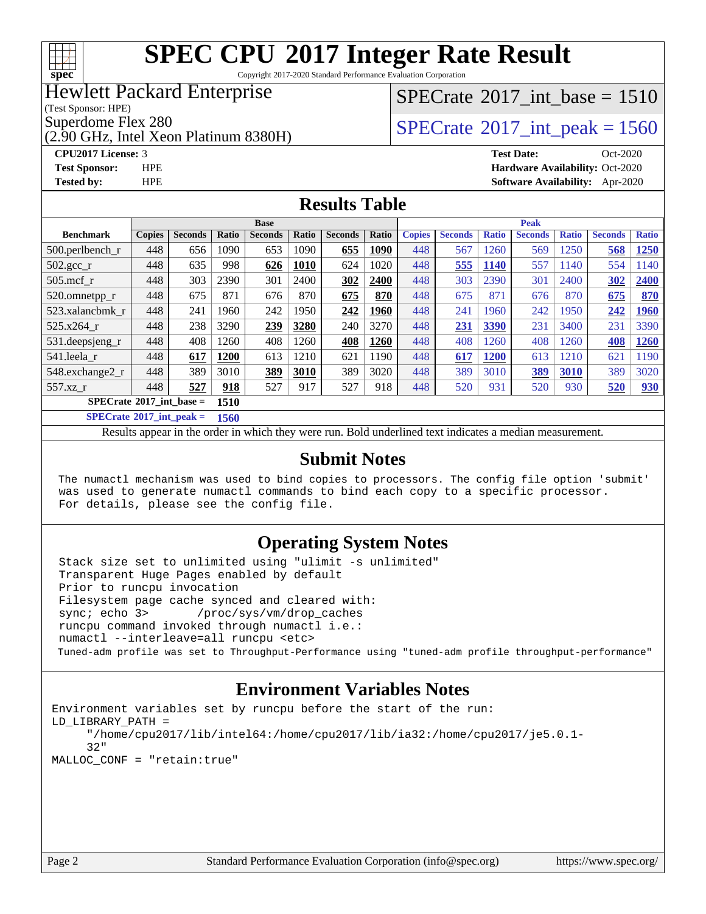

Copyright 2017-2020 Standard Performance Evaluation Corporation

### Hewlett Packard Enterprise

(Test Sponsor: HPE)

(2.90 GHz, Intel Xeon Platinum 8380H)

### [SPECrate](http://www.spec.org/auto/cpu2017/Docs/result-fields.html#SPECrate2017intbase)®2017 int\_base =  $1510$

Superdome Flex 280<br>  $S$ PECrate<sup>®</sup>2017 int peak = 1560

**[CPU2017 License:](http://www.spec.org/auto/cpu2017/Docs/result-fields.html#CPU2017License)** 3 **[Test Date:](http://www.spec.org/auto/cpu2017/Docs/result-fields.html#TestDate)** Oct-2020 **[Test Sponsor:](http://www.spec.org/auto/cpu2017/Docs/result-fields.html#TestSponsor)** HPE **[Hardware Availability:](http://www.spec.org/auto/cpu2017/Docs/result-fields.html#HardwareAvailability)** Oct-2020 **[Tested by:](http://www.spec.org/auto/cpu2017/Docs/result-fields.html#Testedby)** HPE **[Software Availability:](http://www.spec.org/auto/cpu2017/Docs/result-fields.html#SoftwareAvailability)** Apr-2020

#### **[Results Table](http://www.spec.org/auto/cpu2017/Docs/result-fields.html#ResultsTable)**

| <b>Base</b>                       |               |                |           |                |       | <b>Peak</b>    |       |               |                |              |                |              |                |              |
|-----------------------------------|---------------|----------------|-----------|----------------|-------|----------------|-------|---------------|----------------|--------------|----------------|--------------|----------------|--------------|
| <b>Benchmark</b>                  | <b>Copies</b> | <b>Seconds</b> | Ratio     | <b>Seconds</b> | Ratio | <b>Seconds</b> | Ratio | <b>Copies</b> | <b>Seconds</b> | <b>Ratio</b> | <b>Seconds</b> | <b>Ratio</b> | <b>Seconds</b> | <b>Ratio</b> |
| $500.$ perlbench_r                | 448           | 656            | 1090      | 653            | 1090  | 655            | 1090  | 448           | 567            | 260          | 569            | 1250         | 568            | 1250         |
| $502.\text{gcc}$ <sub>r</sub>     | 448           | 635            | 998       | 626            | 1010  | 624            | 1020  | 448           | 555            | 1140         | 557            | 1140         | 554            | 1140         |
| $505$ .mcf r                      | 448           | 303            | 2390      | 301            | 2400  | 302            | 2400  | 448           | 303            | 2390         | 301            | 2400         | 302            | 2400         |
| 520.omnetpp_r                     | 448           | 675            | 871       | 676            | 870   | 675            | 870   | 448           | 675            | 871          | 676            | 870          | 675            | 870          |
| 523.xalancbmk r                   | 448           | 241            | 1960      | 242            | 1950  | 242            | 1960  | 448           | 241            | 1960         | 242            | 1950         | 242            | 1960         |
| 525.x264 r                        | 448           | 238            | 3290      | 239            | 3280  | 240            | 3270  | 448           | 231            | 3390         | 231            | 3400         | 231            | 3390         |
| 531.deepsjeng_r                   | 448           | 408            | 1260      | 408            | 1260  | 408            | 1260  | 448           | 408            | 260          | 408            | 1260         | 408            | 1260         |
| 541.leela r                       | 448           | 617            | 1200      | 613            | 1210  | 621            | 1190  | 448           | 617            | 1200         | 613            | 1210         | 621            | 1190         |
| 548.exchange2_r                   | 448           | 389            | 3010      | 389            | 3010  | 389            | 3020  | 448           | 389            | 3010         | 389            | 3010         | 389            | 3020         |
| $557.xz$ _r                       | 448           | 527            | 918       | 527            | 917   | 527            | 918   | 448           | 520            | 931          | 520            | 930          | 520            | 930          |
| $SPECrate^{\circ}2017$ int base = |               |                | 1510      |                |       |                |       |               |                |              |                |              |                |              |
| $CDDLO \rightarrow AAAIB$         |               | . .            | $- - - -$ |                |       |                |       |               |                |              |                |              |                |              |

**[SPECrate](http://www.spec.org/auto/cpu2017/Docs/result-fields.html#SPECrate2017intpeak)[2017\\_int\\_peak =](http://www.spec.org/auto/cpu2017/Docs/result-fields.html#SPECrate2017intpeak) 1560**

Results appear in the [order in which they were run](http://www.spec.org/auto/cpu2017/Docs/result-fields.html#RunOrder). Bold underlined text [indicates a median measurement](http://www.spec.org/auto/cpu2017/Docs/result-fields.html#Median).

#### **[Submit Notes](http://www.spec.org/auto/cpu2017/Docs/result-fields.html#SubmitNotes)**

 The numactl mechanism was used to bind copies to processors. The config file option 'submit' was used to generate numactl commands to bind each copy to a specific processor. For details, please see the config file.

### **[Operating System Notes](http://www.spec.org/auto/cpu2017/Docs/result-fields.html#OperatingSystemNotes)**

 Stack size set to unlimited using "ulimit -s unlimited" Transparent Huge Pages enabled by default Prior to runcpu invocation Filesystem page cache synced and cleared with: sync; echo 3> /proc/sys/vm/drop\_caches runcpu command invoked through numactl i.e.: numactl --interleave=all runcpu <etc> Tuned-adm profile was set to Throughput-Performance using "tuned-adm profile throughput-performance"

#### **[Environment Variables Notes](http://www.spec.org/auto/cpu2017/Docs/result-fields.html#EnvironmentVariablesNotes)**

```
Environment variables set by runcpu before the start of the run:
LD_LIBRARY_PATH =
      "/home/cpu2017/lib/intel64:/home/cpu2017/lib/ia32:/home/cpu2017/je5.0.1-
      32"
MALLOC_CONF = "retain:true"
```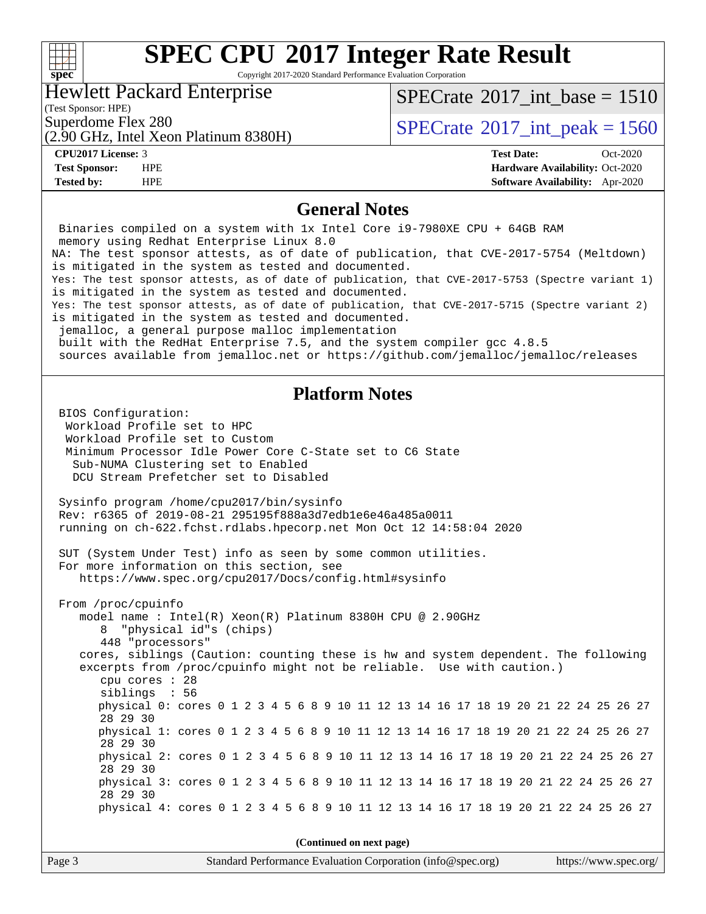#### **[spec](http://www.spec.org/)**

# **[SPEC CPU](http://www.spec.org/auto/cpu2017/Docs/result-fields.html#SPECCPU2017IntegerRateResult)[2017 Integer Rate Result](http://www.spec.org/auto/cpu2017/Docs/result-fields.html#SPECCPU2017IntegerRateResult)**

Copyright 2017-2020 Standard Performance Evaluation Corporation

#### Hewlett Packard Enterprise

[SPECrate](http://www.spec.org/auto/cpu2017/Docs/result-fields.html#SPECrate2017intbase)®2017 int\_base =  $1510$ 

(Test Sponsor: HPE)

(2.90 GHz, Intel Xeon Platinum 8380H)

### Superdome Flex 280<br>  $S$ PECrate<sup>®</sup>2017 int peak = 1560

**[CPU2017 License:](http://www.spec.org/auto/cpu2017/Docs/result-fields.html#CPU2017License)** 3 **[Test Date:](http://www.spec.org/auto/cpu2017/Docs/result-fields.html#TestDate)** Oct-2020 **[Test Sponsor:](http://www.spec.org/auto/cpu2017/Docs/result-fields.html#TestSponsor)** HPE **[Hardware Availability:](http://www.spec.org/auto/cpu2017/Docs/result-fields.html#HardwareAvailability)** Oct-2020 **[Tested by:](http://www.spec.org/auto/cpu2017/Docs/result-fields.html#Testedby)** HPE **[Software Availability:](http://www.spec.org/auto/cpu2017/Docs/result-fields.html#SoftwareAvailability)** Apr-2020

#### **[General Notes](http://www.spec.org/auto/cpu2017/Docs/result-fields.html#GeneralNotes)**

Page 3 Standard Performance Evaluation Corporation [\(info@spec.org\)](mailto:info@spec.org) <https://www.spec.org/> Binaries compiled on a system with 1x Intel Core i9-7980XE CPU + 64GB RAM memory using Redhat Enterprise Linux 8.0 NA: The test sponsor attests, as of date of publication, that CVE-2017-5754 (Meltdown) is mitigated in the system as tested and documented. Yes: The test sponsor attests, as of date of publication, that CVE-2017-5753 (Spectre variant 1) is mitigated in the system as tested and documented. Yes: The test sponsor attests, as of date of publication, that CVE-2017-5715 (Spectre variant 2) is mitigated in the system as tested and documented. jemalloc, a general purpose malloc implementation built with the RedHat Enterprise 7.5, and the system compiler gcc 4.8.5 sources available from jemalloc.net or<https://github.com/jemalloc/jemalloc/releases> **[Platform Notes](http://www.spec.org/auto/cpu2017/Docs/result-fields.html#PlatformNotes)** BIOS Configuration: Workload Profile set to HPC Workload Profile set to Custom Minimum Processor Idle Power Core C-State set to C6 State Sub-NUMA Clustering set to Enabled DCU Stream Prefetcher set to Disabled Sysinfo program /home/cpu2017/bin/sysinfo Rev: r6365 of 2019-08-21 295195f888a3d7edb1e6e46a485a0011 running on ch-622.fchst.rdlabs.hpecorp.net Mon Oct 12 14:58:04 2020 SUT (System Under Test) info as seen by some common utilities. For more information on this section, see <https://www.spec.org/cpu2017/Docs/config.html#sysinfo> From /proc/cpuinfo model name : Intel(R) Xeon(R) Platinum 8380H CPU @ 2.90GHz 8 "physical id"s (chips) 448 "processors" cores, siblings (Caution: counting these is hw and system dependent. The following excerpts from /proc/cpuinfo might not be reliable. Use with caution.) cpu cores : 28 siblings : 56 physical 0: cores 0 1 2 3 4 5 6 8 9 10 11 12 13 14 16 17 18 19 20 21 22 24 25 26 27 28 29 30 physical 1: cores 0 1 2 3 4 5 6 8 9 10 11 12 13 14 16 17 18 19 20 21 22 24 25 26 27 28 29 30 physical 2: cores 0 1 2 3 4 5 6 8 9 10 11 12 13 14 16 17 18 19 20 21 22 24 25 26 27 28 29 30 physical 3: cores 0 1 2 3 4 5 6 8 9 10 11 12 13 14 16 17 18 19 20 21 22 24 25 26 27 28 29 30 physical 4: cores 0 1 2 3 4 5 6 8 9 10 11 12 13 14 16 17 18 19 20 21 22 24 25 26 27 **(Continued on next page)**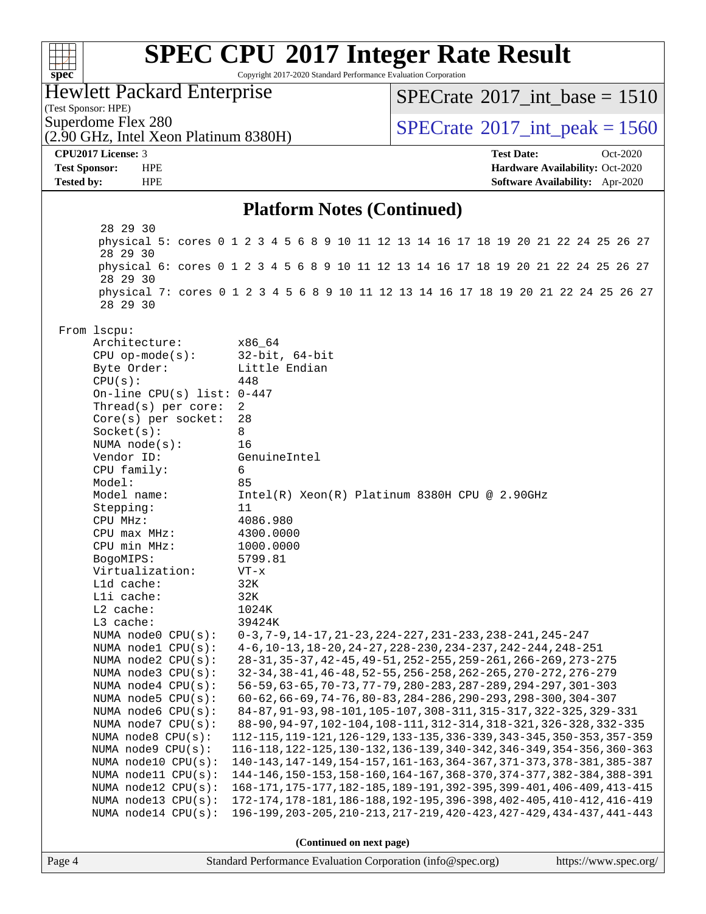| spec <sup>®</sup>    |                                           | <b>SPEC CPU®2017 Integer Rate Result</b><br>Copyright 2017-2020 Standard Performance Evaluation Corporation                                      |                                                                                                                                  |                                 |
|----------------------|-------------------------------------------|--------------------------------------------------------------------------------------------------------------------------------------------------|----------------------------------------------------------------------------------------------------------------------------------|---------------------------------|
| (Test Sponsor: HPE)  | <b>Hewlett Packard Enterprise</b>         |                                                                                                                                                  | $SPECrate^{\circ}2017$ int base = 1510                                                                                           |                                 |
| Superdome Flex 280   | (2.90 GHz, Intel Xeon Platinum 8380H)     |                                                                                                                                                  | $SPECTate$ <sup>®</sup> 2017_int_peak = 1560                                                                                     |                                 |
| CPU2017 License: 3   |                                           |                                                                                                                                                  | <b>Test Date:</b>                                                                                                                | Oct-2020                        |
| <b>Test Sponsor:</b> | <b>HPE</b>                                |                                                                                                                                                  |                                                                                                                                  | Hardware Availability: Oct-2020 |
| <b>Tested by:</b>    | <b>HPE</b>                                |                                                                                                                                                  |                                                                                                                                  | Software Availability: Apr-2020 |
|                      |                                           | <b>Platform Notes (Continued)</b>                                                                                                                |                                                                                                                                  |                                 |
|                      | 28 29 30<br>28 29 30                      | physical 5: cores 0 1 2 3 4 5 6 8 9 10 11 12 13 14 16 17 18 19 20 21 22 24 25 26 27                                                              |                                                                                                                                  |                                 |
|                      | 28 29 30                                  | physical 6: cores 0 1 2 3 4 5 6 8 9 10 11 12 13 14 16 17 18 19 20 21 22 24 25 26 27                                                              |                                                                                                                                  |                                 |
|                      | 28 29 30                                  | physical 7: cores 0 1 2 3 4 5 6 8 9 10 11 12 13 14 16 17 18 19 20 21 22 24 25 26 27                                                              |                                                                                                                                  |                                 |
| From lscpu:          |                                           |                                                                                                                                                  |                                                                                                                                  |                                 |
|                      | Architecture:                             | x86_64                                                                                                                                           |                                                                                                                                  |                                 |
|                      | $CPU$ op-mode( $s$ ):<br>Byte Order:      | $32$ -bit, $64$ -bit<br>Little Endian                                                                                                            |                                                                                                                                  |                                 |
|                      | CPU(s):                                   | 448                                                                                                                                              |                                                                                                                                  |                                 |
|                      | On-line CPU(s) list: $0-447$              |                                                                                                                                                  |                                                                                                                                  |                                 |
|                      | Thread( $s$ ) per core:                   | 2<br>28                                                                                                                                          |                                                                                                                                  |                                 |
|                      | $Core(s)$ per socket:<br>Socket(s):       | 8                                                                                                                                                |                                                                                                                                  |                                 |
|                      | NUMA $node(s):$                           | 16                                                                                                                                               |                                                                                                                                  |                                 |
|                      | Vendor ID:                                | GenuineIntel                                                                                                                                     |                                                                                                                                  |                                 |
|                      | CPU family:                               | 6                                                                                                                                                |                                                                                                                                  |                                 |
|                      | Model:                                    | 85                                                                                                                                               |                                                                                                                                  |                                 |
|                      | Model name:<br>Stepping:                  | Intel(R) Xeon(R) Platinum 8380H CPU @ 2.90GHz<br>11                                                                                              |                                                                                                                                  |                                 |
|                      | CPU MHz:                                  | 4086.980                                                                                                                                         |                                                                                                                                  |                                 |
|                      | $CPU$ max $MHz$ :                         | 4300.0000                                                                                                                                        |                                                                                                                                  |                                 |
|                      | CPU min MHz:                              | 1000.0000                                                                                                                                        |                                                                                                                                  |                                 |
|                      | BogoMIPS:                                 | 5799.81                                                                                                                                          |                                                                                                                                  |                                 |
|                      | Virtualization:                           | $VT - x$                                                                                                                                         |                                                                                                                                  |                                 |
|                      | Lld cache:<br>Lli cache:                  | 32K<br>32K                                                                                                                                       |                                                                                                                                  |                                 |
|                      | L2 cache:                                 | 1024K                                                                                                                                            |                                                                                                                                  |                                 |
|                      | L3 cache:                                 | 39424K                                                                                                                                           |                                                                                                                                  |                                 |
|                      | NUMA node0 CPU(s):                        |                                                                                                                                                  | $0-3, 7-9, 14-17, 21-23, 224-227, 231-233, 238-241, 245-247$                                                                     |                                 |
|                      | NUMA nodel CPU(s):                        |                                                                                                                                                  | 4-6, 10-13, 18-20, 24-27, 228-230, 234-237, 242-244, 248-251                                                                     |                                 |
|                      | NUMA node2 CPU(s):<br>NUMA node3 CPU(s):  |                                                                                                                                                  | 28-31, 35-37, 42-45, 49-51, 252-255, 259-261, 266-269, 273-275<br>32-34, 38-41, 46-48, 52-55, 256-258, 262-265, 270-272, 276-279 |                                 |
|                      | NUMA node4 CPU(s):                        |                                                                                                                                                  | 56-59, 63-65, 70-73, 77-79, 280-283, 287-289, 294-297, 301-303                                                                   |                                 |
|                      | NUMA node5 CPU(s):                        |                                                                                                                                                  | 60-62, 66-69, 74-76, 80-83, 284-286, 290-293, 298-300, 304-307                                                                   |                                 |
|                      | NUMA node6 CPU(s):                        | 84-87, 91-93, 98-101, 105-107, 308-311, 315-317, 322-325, 329-331                                                                                |                                                                                                                                  |                                 |
|                      | NUMA node7 CPU(s):                        |                                                                                                                                                  | 88-90, 94-97, 102-104, 108-111, 312-314, 318-321, 326-328, 332-335                                                               |                                 |
|                      | NUMA node8 CPU(s):                        | 112-115, 119-121, 126-129, 133-135, 336-339, 343-345, 350-353, 357-359                                                                           |                                                                                                                                  |                                 |
|                      | NUMA node9 CPU(s):<br>NUMA node10 CPU(s): | 116-118, 122-125, 130-132, 136-139, 340-342, 346-349, 354-356, 360-363<br>140-143, 147-149, 154-157, 161-163, 364-367, 371-373, 378-381, 385-387 |                                                                                                                                  |                                 |
|                      | NUMA node11 CPU(s):                       | 144-146, 150-153, 158-160, 164-167, 368-370, 374-377, 382-384, 388-391                                                                           |                                                                                                                                  |                                 |
|                      | NUMA node12 CPU(s):                       | 168-171, 175-177, 182-185, 189-191, 392-395, 399-401, 406-409, 413-415                                                                           |                                                                                                                                  |                                 |
|                      | NUMA node13 CPU(s):                       | 172-174, 178-181, 186-188, 192-195, 396-398, 402-405, 410-412, 416-419                                                                           |                                                                                                                                  |                                 |
|                      | NUMA node14 CPU(s):                       | 196-199, 203-205, 210-213, 217-219, 420-423, 427-429, 434-437, 441-443                                                                           |                                                                                                                                  |                                 |
|                      |                                           | (Continued on next page)                                                                                                                         |                                                                                                                                  |                                 |
| Page 4               |                                           | Standard Performance Evaluation Corporation (info@spec.org)                                                                                      |                                                                                                                                  | https://www.spec.org/           |
|                      |                                           |                                                                                                                                                  |                                                                                                                                  |                                 |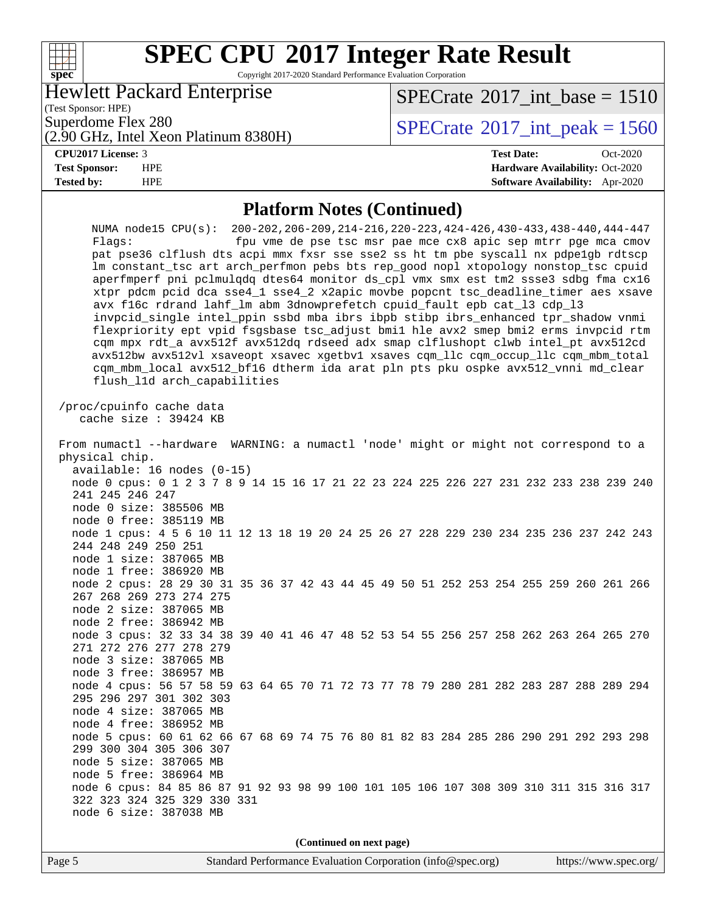### **[SPEC CPU](http://www.spec.org/auto/cpu2017/Docs/result-fields.html#SPECCPU2017IntegerRateResult)[2017 Integer Rate Result](http://www.spec.org/auto/cpu2017/Docs/result-fields.html#SPECCPU2017IntegerRateResult)** Copyright 2017-2020 Standard Performance Evaluation Corporation

Hewlett Packard Enterprise

(Test Sponsor: HPE)

**[spec](http://www.spec.org/)**

 $\begin{matrix} & \ + \ + \end{matrix}$ 

[SPECrate](http://www.spec.org/auto/cpu2017/Docs/result-fields.html#SPECrate2017intbase)®2017 int\_base =  $1510$ 

(2.90 GHz, Intel Xeon Platinum 8380H)

Superdome Flex 280<br>  $SPECTA <sup>8280</sup>$  [SPECrate](http://www.spec.org/auto/cpu2017/Docs/result-fields.html#SPECrate2017intpeak)<sup>®</sup>2017 int peak = 1560

#### **[CPU2017 License:](http://www.spec.org/auto/cpu2017/Docs/result-fields.html#CPU2017License)** 3 **[Test Date:](http://www.spec.org/auto/cpu2017/Docs/result-fields.html#TestDate)** Oct-2020

**[Test Sponsor:](http://www.spec.org/auto/cpu2017/Docs/result-fields.html#TestSponsor)** HPE **[Hardware Availability:](http://www.spec.org/auto/cpu2017/Docs/result-fields.html#HardwareAvailability)** Oct-2020 **[Tested by:](http://www.spec.org/auto/cpu2017/Docs/result-fields.html#Testedby)** HPE **[Software Availability:](http://www.spec.org/auto/cpu2017/Docs/result-fields.html#SoftwareAvailability)** Apr-2020

#### **[Platform Notes \(Continued\)](http://www.spec.org/auto/cpu2017/Docs/result-fields.html#PlatformNotes)** NUMA node15 CPU(s): 200-202,206-209,214-216,220-223,424-426,430-433,438-440,444-447 Flags: fpu vme de pse tsc msr pae mce cx8 apic sep mtrr pge mca cmov pat pse36 clflush dts acpi mmx fxsr sse sse2 ss ht tm pbe syscall nx pdpe1gb rdtscp lm constant\_tsc art arch\_perfmon pebs bts rep\_good nopl xtopology nonstop\_tsc cpuid aperfmperf pni pclmulqdq dtes64 monitor ds\_cpl vmx smx est tm2 ssse3 sdbg fma cx16 xtpr pdcm pcid dca sse4\_1 sse4\_2 x2apic movbe popcnt tsc\_deadline\_timer aes xsave avx f16c rdrand lahf\_lm abm 3dnowprefetch cpuid\_fault epb cat\_l3 cdp\_l3 invpcid\_single intel\_ppin ssbd mba ibrs ibpb stibp ibrs\_enhanced tpr\_shadow vnmi flexpriority ept vpid fsgsbase tsc\_adjust bmi1 hle avx2 smep bmi2 erms invpcid rtm cqm mpx rdt\_a avx512f avx512dq rdseed adx smap clflushopt clwb intel\_pt avx512cd avx512bw avx512vl xsaveopt xsavec xgetbv1 xsaves cqm\_llc cqm\_occup\_llc cqm\_mbm\_total cqm\_mbm\_local avx512\_bf16 dtherm ida arat pln pts pku ospke avx512\_vnni md\_clear flush\_l1d arch\_capabilities /proc/cpuinfo cache data cache size : 39424 KB From numactl --hardware WARNING: a numactl 'node' might or might not correspond to a physical chip. available: 16 nodes (0-15) node 0 cpus: 0 1 2 3 7 8 9 14 15 16 17 21 22 23 224 225 226 227 231 232 233 238 239 240 241 245 246 247 node 0 size: 385506 MB node 0 free: 385119 MB node 1 cpus: 4 5 6 10 11 12 13 18 19 20 24 25 26 27 228 229 230 234 235 236 237 242 243 244 248 249 250 251 node 1 size: 387065 MB node 1 free: 386920 MB node 2 cpus: 28 29 30 31 35 36 37 42 43 44 45 49 50 51 252 253 254 255 259 260 261 266 267 268 269 273 274 275 node 2 size: 387065 MB node 2 free: 386942 MB node 3 cpus: 32 33 34 38 39 40 41 46 47 48 52 53 54 55 256 257 258 262 263 264 265 270 271 272 276 277 278 279 node 3 size: 387065 MB node 3 free: 386957 MB node 4 cpus: 56 57 58 59 63 64 65 70 71 72 73 77 78 79 280 281 282 283 287 288 289 294 295 296 297 301 302 303 node 4 size: 387065 MB node 4 free: 386952 MB node 5 cpus: 60 61 62 66 67 68 69 74 75 76 80 81 82 83 284 285 286 290 291 292 293 298 299 300 304 305 306 307 node 5 size: 387065 MB node 5 free: 386964 MB node 6 cpus: 84 85 86 87 91 92 93 98 99 100 101 105 106 107 308 309 310 311 315 316 317 322 323 324 325 329 330 331 node 6 size: 387038 MB

**(Continued on next page)**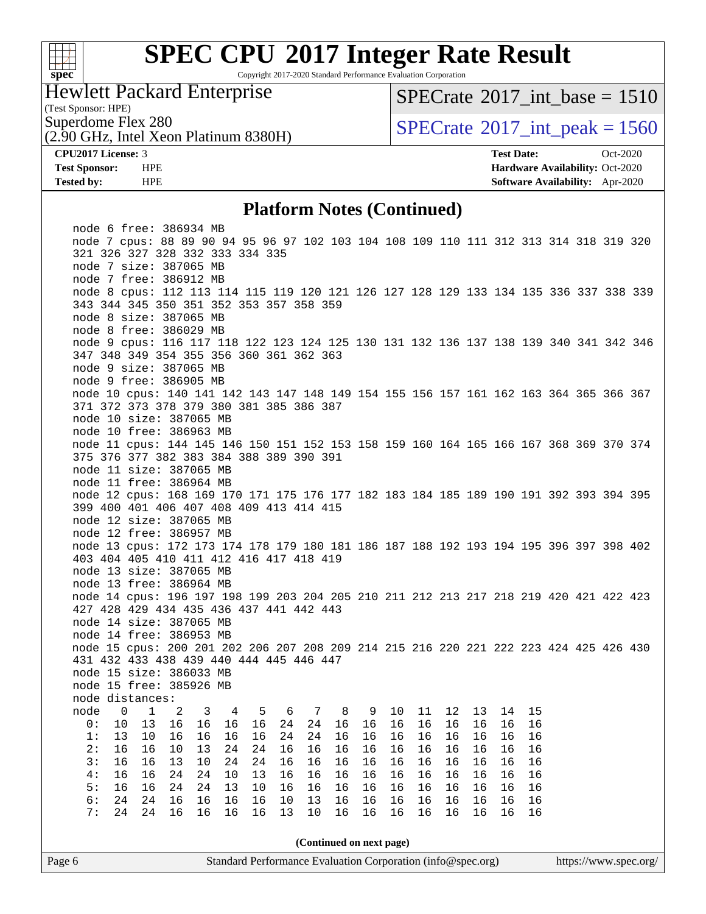

Copyright 2017-2020 Standard Performance Evaluation Corporation

#### Hewlett Packard Enterprise

(2.90 GHz, Intel Xeon Platinum 8380H)

[SPECrate](http://www.spec.org/auto/cpu2017/Docs/result-fields.html#SPECrate2017intbase)®2017 int\_base =  $1510$ 

(Test Sponsor: HPE)

Superdome Flex 280<br>  $SPECTA = 1560$ <br>  $SPECTA = 1560$ <br>  $SPECTA = 1560$ 

**[CPU2017 License:](http://www.spec.org/auto/cpu2017/Docs/result-fields.html#CPU2017License)** 3 **[Test Date:](http://www.spec.org/auto/cpu2017/Docs/result-fields.html#TestDate)** Oct-2020 **[Test Sponsor:](http://www.spec.org/auto/cpu2017/Docs/result-fields.html#TestSponsor)** HPE **[Hardware Availability:](http://www.spec.org/auto/cpu2017/Docs/result-fields.html#HardwareAvailability)** Oct-2020 **[Tested by:](http://www.spec.org/auto/cpu2017/Docs/result-fields.html#Testedby)** HPE **[Software Availability:](http://www.spec.org/auto/cpu2017/Docs/result-fields.html#SoftwareAvailability)** Apr-2020

#### **[Platform Notes \(Continued\)](http://www.spec.org/auto/cpu2017/Docs/result-fields.html#PlatformNotes)**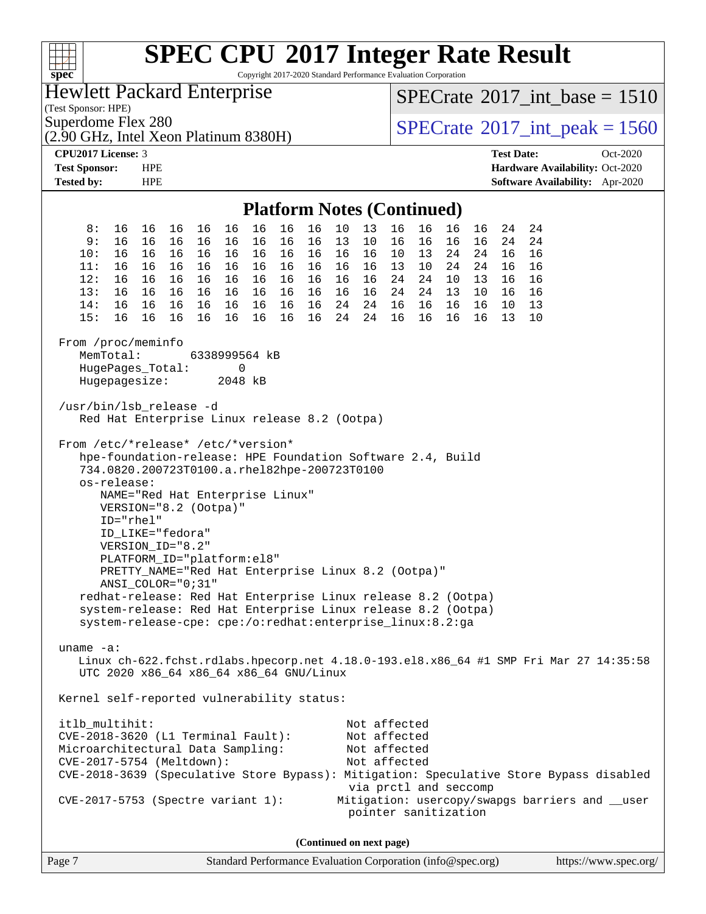| spec <sup>®</sup>                                                                                                                                                                                                                                                                                                                                                                                                                                                                                                                                                                                        | <b>SPEC CPU®2017 Integer Rate Result</b><br>Copyright 2017-2020 Standard Performance Evaluation Corporation                                                                                                                                                                                                                                                                                                                                                                                                                                                                                                                                                                                                                                                                                                                                                                                                          |                                                                                                                                                                                              |                                                                                                                                                                                              |                                                                    |  |  |
|----------------------------------------------------------------------------------------------------------------------------------------------------------------------------------------------------------------------------------------------------------------------------------------------------------------------------------------------------------------------------------------------------------------------------------------------------------------------------------------------------------------------------------------------------------------------------------------------------------|----------------------------------------------------------------------------------------------------------------------------------------------------------------------------------------------------------------------------------------------------------------------------------------------------------------------------------------------------------------------------------------------------------------------------------------------------------------------------------------------------------------------------------------------------------------------------------------------------------------------------------------------------------------------------------------------------------------------------------------------------------------------------------------------------------------------------------------------------------------------------------------------------------------------|----------------------------------------------------------------------------------------------------------------------------------------------------------------------------------------------|----------------------------------------------------------------------------------------------------------------------------------------------------------------------------------------------|--------------------------------------------------------------------|--|--|
| <b>Hewlett Packard Enterprise</b><br>(Test Sponsor: HPE)                                                                                                                                                                                                                                                                                                                                                                                                                                                                                                                                                 |                                                                                                                                                                                                                                                                                                                                                                                                                                                                                                                                                                                                                                                                                                                                                                                                                                                                                                                      |                                                                                                                                                                                              |                                                                                                                                                                                              | $SPECrate^{\circ}2017\_int\_base = 1510$                           |  |  |
| Superdome Flex 280<br>(2.90 GHz, Intel Xeon Platinum 8380H)                                                                                                                                                                                                                                                                                                                                                                                                                                                                                                                                              |                                                                                                                                                                                                                                                                                                                                                                                                                                                                                                                                                                                                                                                                                                                                                                                                                                                                                                                      |                                                                                                                                                                                              |                                                                                                                                                                                              | $SPECrate^{\circ}2017\_int\_peak = 1560$                           |  |  |
| CPU2017 License: 3                                                                                                                                                                                                                                                                                                                                                                                                                                                                                                                                                                                       |                                                                                                                                                                                                                                                                                                                                                                                                                                                                                                                                                                                                                                                                                                                                                                                                                                                                                                                      |                                                                                                                                                                                              | <b>Test Date:</b>                                                                                                                                                                            | Oct-2020                                                           |  |  |
| <b>Test Sponsor:</b><br><b>HPE</b><br><b>Tested by:</b><br><b>HPE</b>                                                                                                                                                                                                                                                                                                                                                                                                                                                                                                                                    |                                                                                                                                                                                                                                                                                                                                                                                                                                                                                                                                                                                                                                                                                                                                                                                                                                                                                                                      |                                                                                                                                                                                              |                                                                                                                                                                                              | Hardware Availability: Oct-2020<br>Software Availability: Apr-2020 |  |  |
| <b>Platform Notes (Continued)</b>                                                                                                                                                                                                                                                                                                                                                                                                                                                                                                                                                                        |                                                                                                                                                                                                                                                                                                                                                                                                                                                                                                                                                                                                                                                                                                                                                                                                                                                                                                                      |                                                                                                                                                                                              |                                                                                                                                                                                              |                                                                    |  |  |
| 8:<br>16<br>16<br>16<br>9:<br>16<br>16<br>16<br>10:<br>16<br>16<br>16<br>11:<br>16<br>16<br>16<br>12:<br>16<br>16<br>16<br>13:<br>16<br>16<br>16<br>16<br>16<br>14:<br>16<br>15:<br>16<br>16<br>16<br>From /proc/meminfo<br>MemTotal:<br>HugePages_Total:<br>Hugepagesize:<br>/usr/bin/lsb_release -d<br>From /etc/*release* /etc/*version*<br>os-release:<br>VERSION="8.2 (Ootpa)"<br>ID="rhel"<br>ID_LIKE="fedora"<br>VERSION_ID="8.2"<br>PLATFORM ID="platform:el8"<br>ANSI_COLOR="0;31"<br>uname $-a$ :<br>itlb_multihit:<br>CVE-2018-3620 (L1 Terminal Fault):<br>Microarchitectural Data Sampling: | 16<br>16<br>16<br>16<br>16<br>16<br>16<br>16<br>16<br>16<br>16<br>16<br>16<br>16<br>16<br>16<br>16<br>16<br>16<br>16<br>16<br>16<br>16<br>16<br>16<br>16<br>16<br>16<br>16<br>16<br>16<br>16<br>16<br>16<br>16<br>16<br>16<br>16<br>16<br>16<br>6338999564 kB<br>0<br>2048 kB<br>Red Hat Enterprise Linux release 8.2 (Ootpa)<br>hpe-foundation-release: HPE Foundation Software 2.4, Build<br>734.0820.200723T0100.a.rhel82hpe-200723T0100<br>NAME="Red Hat Enterprise Linux"<br>PRETTY_NAME="Red Hat Enterprise Linux 8.2 (Ootpa)"<br>redhat-release: Red Hat Enterprise Linux release 8.2 (Ootpa)<br>system-release: Red Hat Enterprise Linux release 8.2 (Ootpa)<br>system-release-cpe: cpe:/o:redhat:enterprise_linux:8.2:ga<br>Linux ch-622.fchst.rdlabs.hpecorp.net 4.18.0-193.el8.x86_64 #1 SMP Fri Mar 27 14:35:58<br>UTC 2020 x86_64 x86_64 x86_64 GNU/Linux<br>Kernel self-reported vulnerability status: | 10<br>13<br>16<br>10<br>16<br>13<br>16<br>16<br>10<br>13<br>16<br>16<br>16<br>16<br>24<br>16<br>16<br>24<br>24<br>24<br>16<br>24<br>24<br>16<br>Not affected<br>Not affected<br>Not affected | 16<br>16<br>24<br>16<br>16<br>16<br>24<br>16<br>13<br>24<br>24<br>16<br>10<br>24<br>24<br>16<br>24<br>10<br>13<br>16<br>24<br>13<br>10<br>16<br>16<br>16<br>16<br>10<br>16<br>16<br>13<br>16 | 24<br>24<br>16<br>16<br>16<br>16<br>13<br>10                       |  |  |
| CVE-2017-5754 (Meltdown):<br>CVE-2017-5753 (Spectre variant 1):                                                                                                                                                                                                                                                                                                                                                                                                                                                                                                                                          | CVE-2018-3639 (Speculative Store Bypass): Mitigation: Speculative Store Bypass disabled                                                                                                                                                                                                                                                                                                                                                                                                                                                                                                                                                                                                                                                                                                                                                                                                                              | Not affected<br>via prctl and seccomp                                                                                                                                                        |                                                                                                                                                                                              | Mitigation: usercopy/swapgs barriers and __user                    |  |  |
| pointer sanitization<br>(Continued on next page)                                                                                                                                                                                                                                                                                                                                                                                                                                                                                                                                                         |                                                                                                                                                                                                                                                                                                                                                                                                                                                                                                                                                                                                                                                                                                                                                                                                                                                                                                                      |                                                                                                                                                                                              |                                                                                                                                                                                              |                                                                    |  |  |

Page 7 Standard Performance Evaluation Corporation [\(info@spec.org\)](mailto:info@spec.org) <https://www.spec.org/>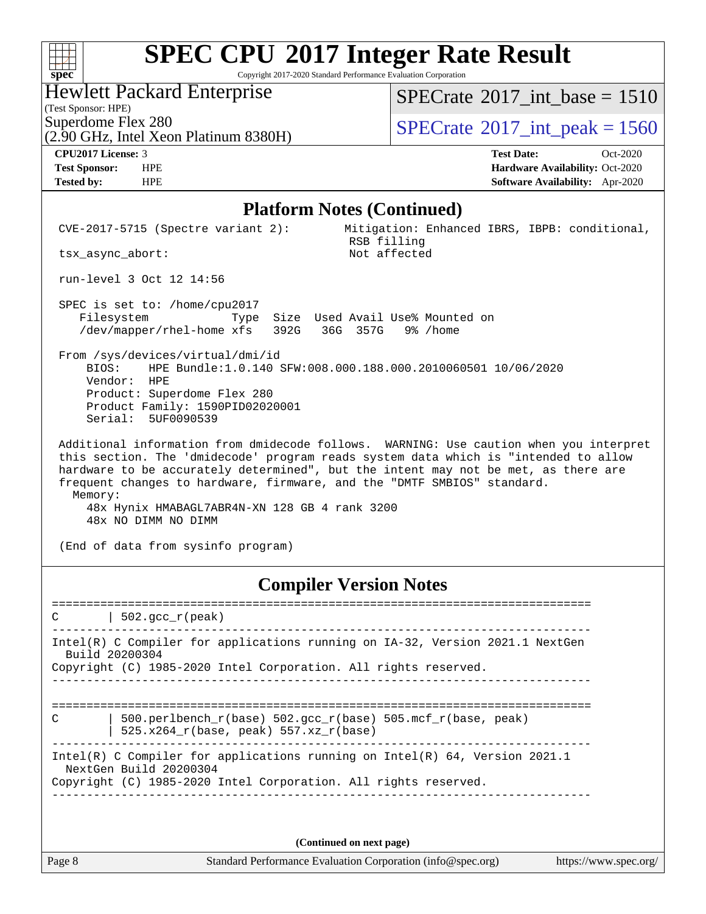Copyright 2017-2020 Standard Performance Evaluation Corporation

### Hewlett Packard Enterprise

(Test Sponsor: HPE)

 $SPECTate$ <sup>®</sup>[2017\\_int\\_base =](http://www.spec.org/auto/cpu2017/Docs/result-fields.html#SPECrate2017intbase) 1510

Superdome Flex 280<br>  $(2.90 \text{ GHz})$  Intel Xeon Platinum 8380H) [SPECrate](http://www.spec.org/auto/cpu2017/Docs/result-fields.html#SPECrate2017intpeak)®[2017\\_int\\_peak = 1](http://www.spec.org/auto/cpu2017/Docs/result-fields.html#SPECrate2017intpeak)560

# (2.90 GHz, Intel Xeon Platinum 8380H)

**[spec](http://www.spec.org/)**

 $\pm\pm\prime$ 

**[CPU2017 License:](http://www.spec.org/auto/cpu2017/Docs/result-fields.html#CPU2017License)** 3 **[Test Date:](http://www.spec.org/auto/cpu2017/Docs/result-fields.html#TestDate)** Oct-2020 **[Test Sponsor:](http://www.spec.org/auto/cpu2017/Docs/result-fields.html#TestSponsor)** HPE **[Hardware Availability:](http://www.spec.org/auto/cpu2017/Docs/result-fields.html#HardwareAvailability)** Oct-2020 **[Tested by:](http://www.spec.org/auto/cpu2017/Docs/result-fields.html#Testedby)** HPE **[Software Availability:](http://www.spec.org/auto/cpu2017/Docs/result-fields.html#SoftwareAvailability)** Apr-2020

#### **[Platform Notes \(Continued\)](http://www.spec.org/auto/cpu2017/Docs/result-fields.html#PlatformNotes)**

| $CVE-2017-5715$ (Spectre variant 2):<br>tsx async abort:                                                                                                                                                      | Mitigation: Enhanced IBRS, IBPB: conditional,<br>RSB filling<br>Not affected                                                                                                                                                                                        |
|---------------------------------------------------------------------------------------------------------------------------------------------------------------------------------------------------------------|---------------------------------------------------------------------------------------------------------------------------------------------------------------------------------------------------------------------------------------------------------------------|
| run-level 3 Oct 12 14:56                                                                                                                                                                                      |                                                                                                                                                                                                                                                                     |
| SPEC is set to: /home/cpu2017<br>Filesystem<br>/dev/mapper/rhel-home xfs 392G 36G 357G 9% /home                                                                                                               | Type Size Used Avail Use% Mounted on                                                                                                                                                                                                                                |
| From /sys/devices/virtual/dmi/id<br>BIOS: HPE Bundle:1.0.140 SFW:008.000.188.000.2010060501 10/06/2020<br>Vendor: HPE<br>Product: Superdome Flex 280<br>Product Family: 1590PID02020001<br>Serial: 5UF0090539 |                                                                                                                                                                                                                                                                     |
| frequent changes to hardware, firmware, and the "DMTF SMBIOS" standard.<br>Memory:<br>48x Hynix HMABAGL7ABR4N-XN 128 GB 4 rank 3200<br>48x NO DIMM NO DIMM                                                    | Additional information from dmidecode follows. WARNING: Use caution when you interpret<br>this section. The 'dmidecode' program reads system data which is "intended to allow<br>hardware to be accurately determined", but the intent may not be met, as there are |

(End of data from sysinfo program)

### **[Compiler Version Notes](http://www.spec.org/auto/cpu2017/Docs/result-fields.html#CompilerVersionNotes)**

| $ 502.\mathrm{gcc}\_r(\mathrm{peak})$<br>C                                                               |  |
|----------------------------------------------------------------------------------------------------------|--|
| Intel(R) C Compiler for applications running on IA-32, Version 2021.1 NextGen<br>Build 20200304          |  |
| Copyright (C) 1985-2020 Intel Corporation. All rights reserved.                                          |  |
|                                                                                                          |  |
|                                                                                                          |  |
| $500. perlbench_r(base) 502. gcc_r(base) 505. mcf r(base, peak)$<br>C                                    |  |
| $525.x264$ r(base, peak) 557.xz r(base)                                                                  |  |
|                                                                                                          |  |
| Intel(R) C Compiler for applications running on Intel(R) $64$ , Version 2021.1<br>NextGen Build 20200304 |  |
| Copyright (C) 1985-2020 Intel Corporation. All rights reserved.                                          |  |

**(Continued on next page)**

Page 8 Standard Performance Evaluation Corporation [\(info@spec.org\)](mailto:info@spec.org) <https://www.spec.org/>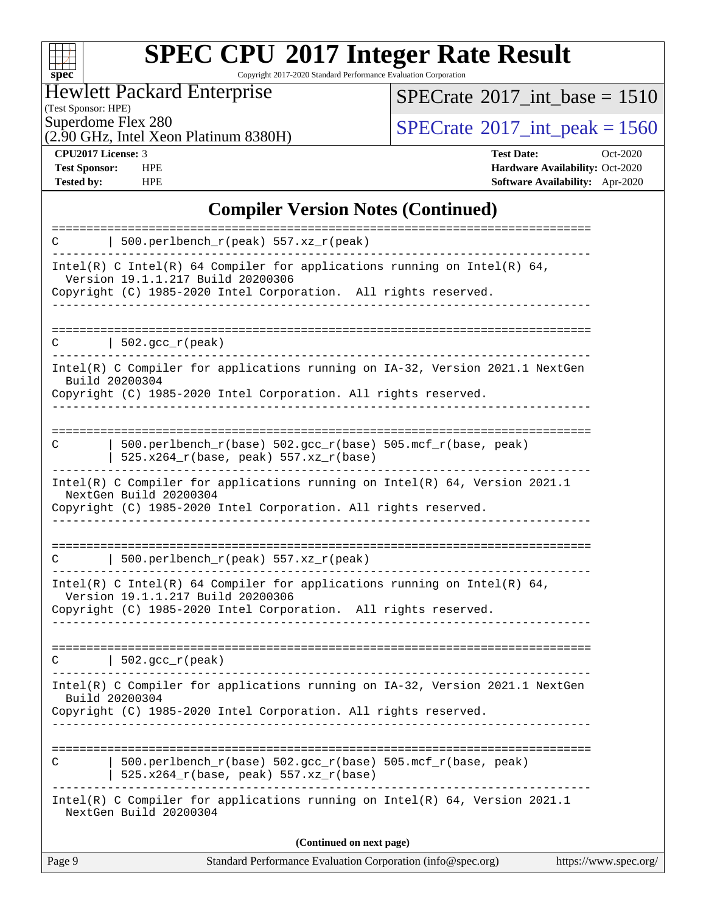

Copyright 2017-2020 Standard Performance Evaluation Corporation

Hewlett Packard Enterprise

(2.90 GHz, Intel Xeon Platinum 8380H)

(Test Sponsor: HPE)

 $SPECTate$ <sup>®</sup>[2017\\_int\\_base =](http://www.spec.org/auto/cpu2017/Docs/result-fields.html#SPECrate2017intbase) 1510

 $SPECTate@2017_int\_peak = 1560$ 

**[CPU2017 License:](http://www.spec.org/auto/cpu2017/Docs/result-fields.html#CPU2017License)** 3 **[Test Date:](http://www.spec.org/auto/cpu2017/Docs/result-fields.html#TestDate)** Oct-2020 **[Test Sponsor:](http://www.spec.org/auto/cpu2017/Docs/result-fields.html#TestSponsor)** HPE **[Hardware Availability:](http://www.spec.org/auto/cpu2017/Docs/result-fields.html#HardwareAvailability)** Oct-2020 **[Tested by:](http://www.spec.org/auto/cpu2017/Docs/result-fields.html#Testedby)** HPE **[Software Availability:](http://www.spec.org/auto/cpu2017/Docs/result-fields.html#SoftwareAvailability)** Apr-2020

#### **[Compiler Version Notes \(Continued\)](http://www.spec.org/auto/cpu2017/Docs/result-fields.html#CompilerVersionNotes)**

| Intel(R) C Compiler for applications running on IA-32, Version 2021.1 NextGen<br>Build 20200304<br>Copyright (C) 1985-2020 Intel Corporation. All rights reserved.               |  |
|----------------------------------------------------------------------------------------------------------------------------------------------------------------------------------|--|
|                                                                                                                                                                                  |  |
| 502.gcc_r(peak)<br>C                                                                                                                                                             |  |
| Intel(R) C Intel(R) 64 Compiler for applications running on Intel(R) 64,<br>Version 19.1.1.217 Build 20200306<br>Copyright (C) 1985-2020 Intel Corporation. All rights reserved. |  |
| 500.perlbench_r(peak) 557.xz_r(peak)<br>C                                                                                                                                        |  |
| NextGen Build 20200304<br>Copyright (C) 1985-2020 Intel Corporation. All rights reserved.                                                                                        |  |
| Intel(R) C Compiler for applications running on $Intel(R) 64$ , Version 2021.1                                                                                                   |  |
| 500.perlbench_r(base) 502.gcc_r(base) 505.mcf_r(base, peak)<br>C<br>525.x264_r(base, peak) 557.xz_r(base)                                                                        |  |
| Intel(R) C Compiler for applications running on IA-32, Version 2021.1 NextGen<br>Build 20200304<br>Copyright (C) 1985-2020 Intel Corporation. All rights reserved.               |  |
| $  502.\text{gcc_r(peak)}$<br>C                                                                                                                                                  |  |
| Copyright (C) 1985-2020 Intel Corporation. All rights reserved.                                                                                                                  |  |
| Intel(R) C Intel(R) 64 Compiler for applications running on Intel(R) 64,<br>Version 19.1.1.217 Build 20200306                                                                    |  |
| 500.perlbench_r(peak) 557.xz_r(peak)<br>C                                                                                                                                        |  |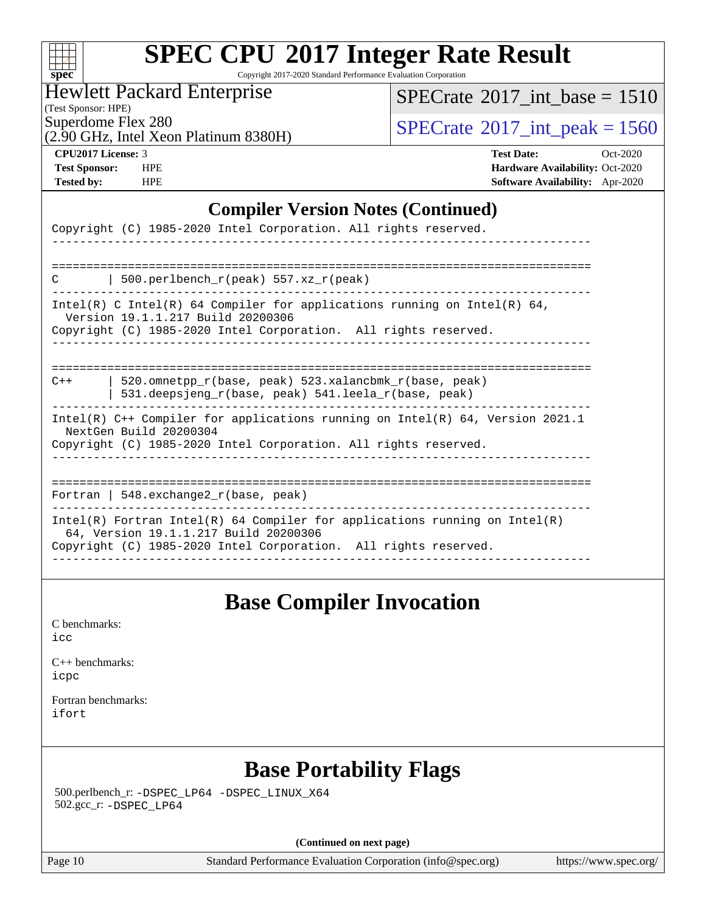| S.<br>×<br>ь. | U | t | t. |  |
|---------------|---|---|----|--|

Copyright 2017-2020 Standard Performance Evaluation Corporation

Hewlett Packard Enterprise

[SPECrate](http://www.spec.org/auto/cpu2017/Docs/result-fields.html#SPECrate2017intbase)<sup>®</sup>2017 int\_base = 1510

(Test Sponsor: HPE) (2.90 GHz, Intel Xeon Platinum 8380H)

 $SPECTate$ <sup>®</sup>[2017\\_int\\_peak = 1](http://www.spec.org/auto/cpu2017/Docs/result-fields.html#SPECrate2017intpeak)560

**[CPU2017 License:](http://www.spec.org/auto/cpu2017/Docs/result-fields.html#CPU2017License)** 3 **[Test Date:](http://www.spec.org/auto/cpu2017/Docs/result-fields.html#TestDate)** Oct-2020 **[Test Sponsor:](http://www.spec.org/auto/cpu2017/Docs/result-fields.html#TestSponsor)** HPE **[Hardware Availability:](http://www.spec.org/auto/cpu2017/Docs/result-fields.html#HardwareAvailability)** Oct-2020 **[Tested by:](http://www.spec.org/auto/cpu2017/Docs/result-fields.html#Testedby)** HPE **[Software Availability:](http://www.spec.org/auto/cpu2017/Docs/result-fields.html#SoftwareAvailability)** Apr-2020

#### **[Compiler Version Notes \(Continued\)](http://www.spec.org/auto/cpu2017/Docs/result-fields.html#CompilerVersionNotes)**

| Copyright (C) 1985-2020 Intel Corporation. All rights reserved.                                                                                                                          |
|------------------------------------------------------------------------------------------------------------------------------------------------------------------------------------------|
|                                                                                                                                                                                          |
| 500.perlbench $r(\text{peak})$ 557.xz $r(\text{peak})$<br>C                                                                                                                              |
| Intel(R) C Intel(R) 64 Compiler for applications running on Intel(R) 64,<br>Version 19.1.1.217 Build 20200306<br>Copyright (C) 1985-2020 Intel Corporation. All rights reserved.         |
|                                                                                                                                                                                          |
| 520.omnetpp $r(base, peak)$ 523.xalancbmk $r(base, peak)$<br>$C++$<br>531.deepsjeng_r(base, peak) 541.leela_r(base, peak)                                                                |
| Intel(R) $C++$ Compiler for applications running on Intel(R) 64, Version 2021.1<br>NextGen Build 20200304<br>Copyright (C) 1985-2020 Intel Corporation. All rights reserved.             |
| Fortran   548. exchange2 $r(base, peak)$                                                                                                                                                 |
| $Intel(R)$ Fortran Intel(R) 64 Compiler for applications running on Intel(R)<br>64, Version 19.1.1.217 Build 20200306<br>Copyright (C) 1985-2020 Intel Corporation. All rights reserved. |
|                                                                                                                                                                                          |

### **[Base Compiler Invocation](http://www.spec.org/auto/cpu2017/Docs/result-fields.html#BaseCompilerInvocation)**

[C benchmarks](http://www.spec.org/auto/cpu2017/Docs/result-fields.html#Cbenchmarks): [icc](http://www.spec.org/cpu2017/results/res2020q4/cpu2017-20201012-24169.flags.html#user_CCbase_intel_icc_66fc1ee009f7361af1fbd72ca7dcefbb700085f36577c54f309893dd4ec40d12360134090235512931783d35fd58c0460139e722d5067c5574d8eaf2b3e37e92)

[C++ benchmarks:](http://www.spec.org/auto/cpu2017/Docs/result-fields.html#CXXbenchmarks) [icpc](http://www.spec.org/cpu2017/results/res2020q4/cpu2017-20201012-24169.flags.html#user_CXXbase_intel_icpc_c510b6838c7f56d33e37e94d029a35b4a7bccf4766a728ee175e80a419847e808290a9b78be685c44ab727ea267ec2f070ec5dc83b407c0218cded6866a35d07)

[Fortran benchmarks](http://www.spec.org/auto/cpu2017/Docs/result-fields.html#Fortranbenchmarks): [ifort](http://www.spec.org/cpu2017/results/res2020q4/cpu2017-20201012-24169.flags.html#user_FCbase_intel_ifort_8111460550e3ca792625aed983ce982f94888b8b503583aa7ba2b8303487b4d8a21a13e7191a45c5fd58ff318f48f9492884d4413fa793fd88dd292cad7027ca)

# **[Base Portability Flags](http://www.spec.org/auto/cpu2017/Docs/result-fields.html#BasePortabilityFlags)**

 500.perlbench\_r: [-DSPEC\\_LP64](http://www.spec.org/cpu2017/results/res2020q4/cpu2017-20201012-24169.flags.html#b500.perlbench_r_basePORTABILITY_DSPEC_LP64) [-DSPEC\\_LINUX\\_X64](http://www.spec.org/cpu2017/results/res2020q4/cpu2017-20201012-24169.flags.html#b500.perlbench_r_baseCPORTABILITY_DSPEC_LINUX_X64) 502.gcc\_r: [-DSPEC\\_LP64](http://www.spec.org/cpu2017/results/res2020q4/cpu2017-20201012-24169.flags.html#suite_basePORTABILITY502_gcc_r_DSPEC_LP64)

**(Continued on next page)**

Page 10 Standard Performance Evaluation Corporation [\(info@spec.org\)](mailto:info@spec.org) <https://www.spec.org/>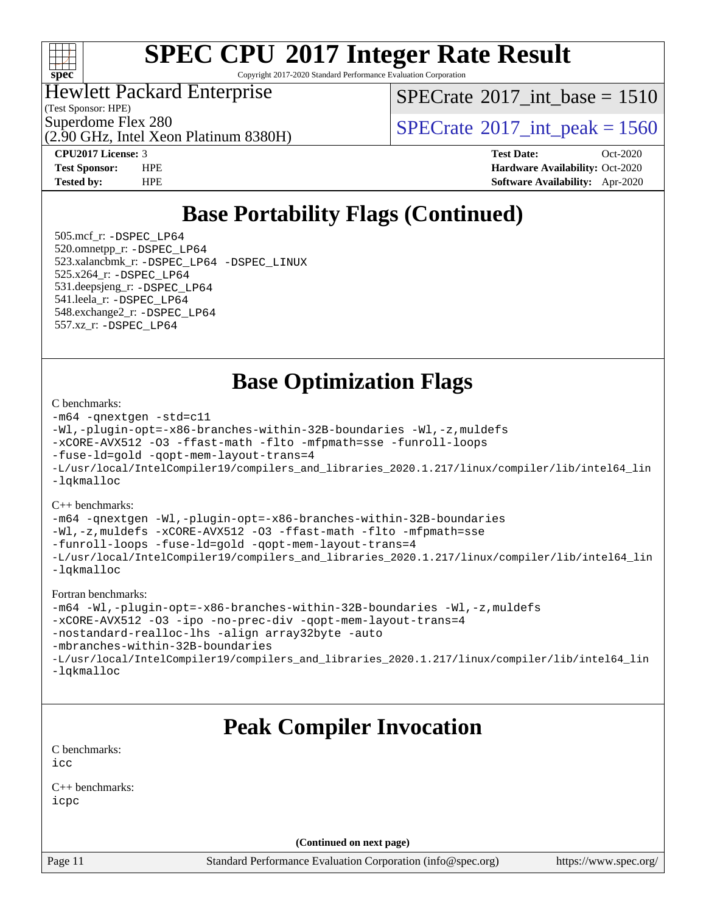

Copyright 2017-2020 Standard Performance Evaluation Corporation

Hewlett Packard Enterprise

(Test Sponsor: HPE)

[SPECrate](http://www.spec.org/auto/cpu2017/Docs/result-fields.html#SPECrate2017intbase)®2017 int\_base =  $1510$ 

Superdome Flex 280<br>  $\angle Q$  [SPECrate](http://www.spec.org/auto/cpu2017/Docs/result-fields.html#SPECrate2017intpeak) 2017 int peak = 1560

(2.90 GHz, Intel Xeon Platinum 8380H)

**[CPU2017 License:](http://www.spec.org/auto/cpu2017/Docs/result-fields.html#CPU2017License)** 3 **[Test Date:](http://www.spec.org/auto/cpu2017/Docs/result-fields.html#TestDate)** Oct-2020 **[Test Sponsor:](http://www.spec.org/auto/cpu2017/Docs/result-fields.html#TestSponsor)** HPE **[Hardware Availability:](http://www.spec.org/auto/cpu2017/Docs/result-fields.html#HardwareAvailability)** Oct-2020 **[Tested by:](http://www.spec.org/auto/cpu2017/Docs/result-fields.html#Testedby)** HPE **[Software Availability:](http://www.spec.org/auto/cpu2017/Docs/result-fields.html#SoftwareAvailability)** Apr-2020

# **[Base Portability Flags \(Continued\)](http://www.spec.org/auto/cpu2017/Docs/result-fields.html#BasePortabilityFlags)**

 505.mcf\_r: [-DSPEC\\_LP64](http://www.spec.org/cpu2017/results/res2020q4/cpu2017-20201012-24169.flags.html#suite_basePORTABILITY505_mcf_r_DSPEC_LP64) 520.omnetpp\_r: [-DSPEC\\_LP64](http://www.spec.org/cpu2017/results/res2020q4/cpu2017-20201012-24169.flags.html#suite_basePORTABILITY520_omnetpp_r_DSPEC_LP64) 523.xalancbmk\_r: [-DSPEC\\_LP64](http://www.spec.org/cpu2017/results/res2020q4/cpu2017-20201012-24169.flags.html#suite_basePORTABILITY523_xalancbmk_r_DSPEC_LP64) [-DSPEC\\_LINUX](http://www.spec.org/cpu2017/results/res2020q4/cpu2017-20201012-24169.flags.html#b523.xalancbmk_r_baseCXXPORTABILITY_DSPEC_LINUX) 525.x264\_r: [-DSPEC\\_LP64](http://www.spec.org/cpu2017/results/res2020q4/cpu2017-20201012-24169.flags.html#suite_basePORTABILITY525_x264_r_DSPEC_LP64) 531.deepsjeng\_r: [-DSPEC\\_LP64](http://www.spec.org/cpu2017/results/res2020q4/cpu2017-20201012-24169.flags.html#suite_basePORTABILITY531_deepsjeng_r_DSPEC_LP64) 541.leela\_r: [-DSPEC\\_LP64](http://www.spec.org/cpu2017/results/res2020q4/cpu2017-20201012-24169.flags.html#suite_basePORTABILITY541_leela_r_DSPEC_LP64) 548.exchange2\_r: [-DSPEC\\_LP64](http://www.spec.org/cpu2017/results/res2020q4/cpu2017-20201012-24169.flags.html#suite_basePORTABILITY548_exchange2_r_DSPEC_LP64) 557.xz\_r: [-DSPEC\\_LP64](http://www.spec.org/cpu2017/results/res2020q4/cpu2017-20201012-24169.flags.html#suite_basePORTABILITY557_xz_r_DSPEC_LP64)

**[Base Optimization Flags](http://www.spec.org/auto/cpu2017/Docs/result-fields.html#BaseOptimizationFlags)**

#### [C benchmarks](http://www.spec.org/auto/cpu2017/Docs/result-fields.html#Cbenchmarks):

```
-m64 -qnextgen -std=c11
-Wl,-plugin-opt=-x86-branches-within-32B-boundaries -Wl,-z,muldefs
-xCORE-AVX512 -O3 -ffast-math -flto -mfpmath=sse -funroll-loops
-fuse-ld=gold -qopt-mem-layout-trans=4
-L/usr/local/IntelCompiler19/compilers_and_libraries_2020.1.217/linux/compiler/lib/intel64_lin
-lqkmalloc
```
[C++ benchmarks](http://www.spec.org/auto/cpu2017/Docs/result-fields.html#CXXbenchmarks):

```
-m64 -qnextgen -Wl,-plugin-opt=-x86-branches-within-32B-boundaries
-Wl,-z,muldefs -xCORE-AVX512 -O3 -ffast-math -flto -mfpmath=sse
-funroll-loops -fuse-ld=gold -qopt-mem-layout-trans=4
-L/usr/local/IntelCompiler19/compilers_and_libraries_2020.1.217/linux/compiler/lib/intel64_lin
-lqkmalloc
```
[Fortran benchmarks:](http://www.spec.org/auto/cpu2017/Docs/result-fields.html#Fortranbenchmarks)

```
-m64 -Wl,-plugin-opt=-x86-branches-within-32B-boundaries -Wl,-z,muldefs
-xCORE-AVX512 -O3 -ipo -no-prec-div -qopt-mem-layout-trans=4
-nostandard-realloc-lhs -align array32byte -auto
-mbranches-within-32B-boundaries
-L/usr/local/IntelCompiler19/compilers_and_libraries_2020.1.217/linux/compiler/lib/intel64_lin
-lqkmalloc
```
# **[Peak Compiler Invocation](http://www.spec.org/auto/cpu2017/Docs/result-fields.html#PeakCompilerInvocation)**

[C benchmarks](http://www.spec.org/auto/cpu2017/Docs/result-fields.html#Cbenchmarks): [icc](http://www.spec.org/cpu2017/results/res2020q4/cpu2017-20201012-24169.flags.html#user_CCpeak_intel_icc_66fc1ee009f7361af1fbd72ca7dcefbb700085f36577c54f309893dd4ec40d12360134090235512931783d35fd58c0460139e722d5067c5574d8eaf2b3e37e92)

[C++ benchmarks:](http://www.spec.org/auto/cpu2017/Docs/result-fields.html#CXXbenchmarks) [icpc](http://www.spec.org/cpu2017/results/res2020q4/cpu2017-20201012-24169.flags.html#user_CXXpeak_intel_icpc_c510b6838c7f56d33e37e94d029a35b4a7bccf4766a728ee175e80a419847e808290a9b78be685c44ab727ea267ec2f070ec5dc83b407c0218cded6866a35d07)

**(Continued on next page)**

Page 11 Standard Performance Evaluation Corporation [\(info@spec.org\)](mailto:info@spec.org) <https://www.spec.org/>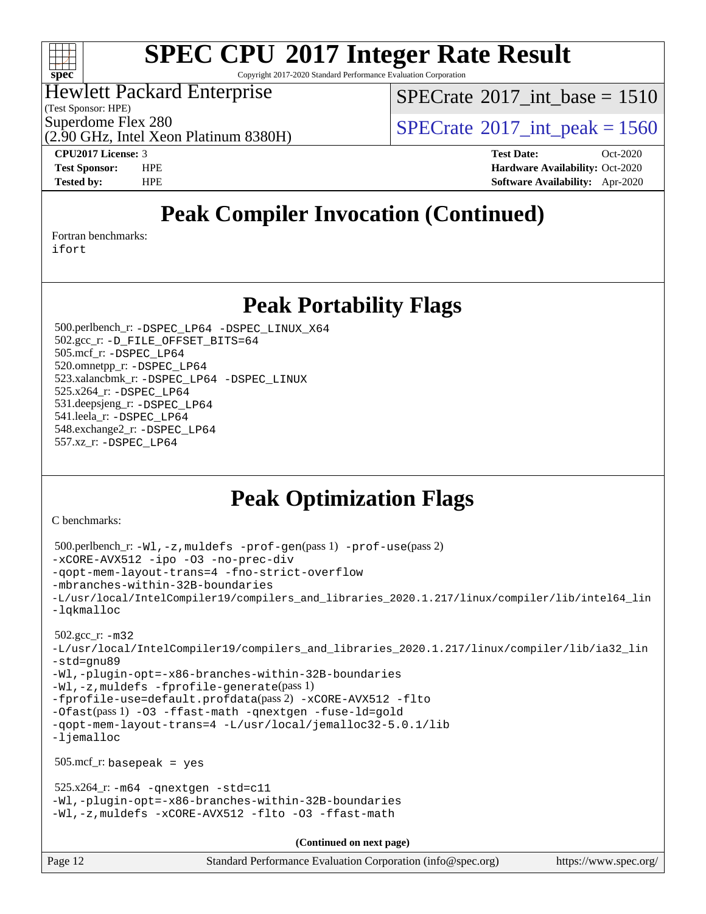

Copyright 2017-2020 Standard Performance Evaluation Corporation

#### Hewlett Packard Enterprise

(Test Sponsor: HPE)

[SPECrate](http://www.spec.org/auto/cpu2017/Docs/result-fields.html#SPECrate2017intbase)®2017 int\_base =  $1510$ 

Superdome Flex 280<br>  $\angle Q$  [SPECrate](http://www.spec.org/auto/cpu2017/Docs/result-fields.html#SPECrate2017intpeak) 2017 int peak = 1560

(2.90 GHz, Intel Xeon Platinum 8380H)

**[CPU2017 License:](http://www.spec.org/auto/cpu2017/Docs/result-fields.html#CPU2017License)** 3 **[Test Date:](http://www.spec.org/auto/cpu2017/Docs/result-fields.html#TestDate)** Oct-2020 **[Test Sponsor:](http://www.spec.org/auto/cpu2017/Docs/result-fields.html#TestSponsor)** HPE **[Hardware Availability:](http://www.spec.org/auto/cpu2017/Docs/result-fields.html#HardwareAvailability)** Oct-2020 **[Tested by:](http://www.spec.org/auto/cpu2017/Docs/result-fields.html#Testedby)** HPE **[Software Availability:](http://www.spec.org/auto/cpu2017/Docs/result-fields.html#SoftwareAvailability)** Apr-2020

# **[Peak Compiler Invocation \(Continued\)](http://www.spec.org/auto/cpu2017/Docs/result-fields.html#PeakCompilerInvocation)**

[Fortran benchmarks](http://www.spec.org/auto/cpu2017/Docs/result-fields.html#Fortranbenchmarks):

[ifort](http://www.spec.org/cpu2017/results/res2020q4/cpu2017-20201012-24169.flags.html#user_FCpeak_intel_ifort_8111460550e3ca792625aed983ce982f94888b8b503583aa7ba2b8303487b4d8a21a13e7191a45c5fd58ff318f48f9492884d4413fa793fd88dd292cad7027ca)

### **[Peak Portability Flags](http://www.spec.org/auto/cpu2017/Docs/result-fields.html#PeakPortabilityFlags)**

 500.perlbench\_r: [-DSPEC\\_LP64](http://www.spec.org/cpu2017/results/res2020q4/cpu2017-20201012-24169.flags.html#b500.perlbench_r_peakPORTABILITY_DSPEC_LP64) [-DSPEC\\_LINUX\\_X64](http://www.spec.org/cpu2017/results/res2020q4/cpu2017-20201012-24169.flags.html#b500.perlbench_r_peakCPORTABILITY_DSPEC_LINUX_X64) 502.gcc\_r: [-D\\_FILE\\_OFFSET\\_BITS=64](http://www.spec.org/cpu2017/results/res2020q4/cpu2017-20201012-24169.flags.html#user_peakPORTABILITY502_gcc_r_file_offset_bits_64_5ae949a99b284ddf4e95728d47cb0843d81b2eb0e18bdfe74bbf0f61d0b064f4bda2f10ea5eb90e1dcab0e84dbc592acfc5018bc955c18609f94ddb8d550002c) 505.mcf\_r: [-DSPEC\\_LP64](http://www.spec.org/cpu2017/results/res2020q4/cpu2017-20201012-24169.flags.html#suite_peakPORTABILITY505_mcf_r_DSPEC_LP64) 520.omnetpp\_r: [-DSPEC\\_LP64](http://www.spec.org/cpu2017/results/res2020q4/cpu2017-20201012-24169.flags.html#suite_peakPORTABILITY520_omnetpp_r_DSPEC_LP64) 523.xalancbmk\_r: [-DSPEC\\_LP64](http://www.spec.org/cpu2017/results/res2020q4/cpu2017-20201012-24169.flags.html#suite_peakPORTABILITY523_xalancbmk_r_DSPEC_LP64) [-DSPEC\\_LINUX](http://www.spec.org/cpu2017/results/res2020q4/cpu2017-20201012-24169.flags.html#b523.xalancbmk_r_peakCXXPORTABILITY_DSPEC_LINUX) 525.x264\_r: [-DSPEC\\_LP64](http://www.spec.org/cpu2017/results/res2020q4/cpu2017-20201012-24169.flags.html#suite_peakPORTABILITY525_x264_r_DSPEC_LP64) 531.deepsjeng\_r: [-DSPEC\\_LP64](http://www.spec.org/cpu2017/results/res2020q4/cpu2017-20201012-24169.flags.html#suite_peakPORTABILITY531_deepsjeng_r_DSPEC_LP64) 541.leela\_r: [-DSPEC\\_LP64](http://www.spec.org/cpu2017/results/res2020q4/cpu2017-20201012-24169.flags.html#suite_peakPORTABILITY541_leela_r_DSPEC_LP64) 548.exchange2\_r: [-DSPEC\\_LP64](http://www.spec.org/cpu2017/results/res2020q4/cpu2017-20201012-24169.flags.html#suite_peakPORTABILITY548_exchange2_r_DSPEC_LP64) 557.xz\_r: [-DSPEC\\_LP64](http://www.spec.org/cpu2017/results/res2020q4/cpu2017-20201012-24169.flags.html#suite_peakPORTABILITY557_xz_r_DSPEC_LP64)

# **[Peak Optimization Flags](http://www.spec.org/auto/cpu2017/Docs/result-fields.html#PeakOptimizationFlags)**

[C benchmarks](http://www.spec.org/auto/cpu2017/Docs/result-fields.html#Cbenchmarks):

```
(info@spec.org)https://www.spec.org/
  500.perlbench_r: -Wl,-z,muldefs -prof-gen(pass 1) -prof-use(pass 2)
-xCORE-AVX512 -ipo -O3 -no-prec-div
-qopt-mem-layout-trans=4 -fno-strict-overflow
-mbranches-within-32B-boundaries
-L/usr/local/IntelCompiler19/compilers_and_libraries_2020.1.217/linux/compiler/lib/intel64_lin
-lqkmalloc
  502.gcc_r: -m32
-L/usr/local/IntelCompiler19/compilers_and_libraries_2020.1.217/linux/compiler/lib/ia32_lin
-std=gnu89
-Wl,-plugin-opt=-x86-branches-within-32B-boundaries
-Wl,-z,muldefs -fprofile-generate(pass 1)
-fprofile-use=default.profdata(pass 2) -xCORE-AVX512 -flto
-Ofast(pass 1) -O3 -ffast-math -qnextgen -fuse-ld=gold
-qopt-mem-layout-trans=4 -L/usr/local/jemalloc32-5.0.1/lib
-ljemalloc
  505.mcf_r: basepeak = yes
 525.x264_r: -m64-qnextgen -std=cl1-Wl,-plugin-opt=-x86-branches-within-32B-boundaries
-Wl,-z,muldefs -xCORE-AVX512 -flto -O3 -ffast-math
                                    (Continued on next page)
```